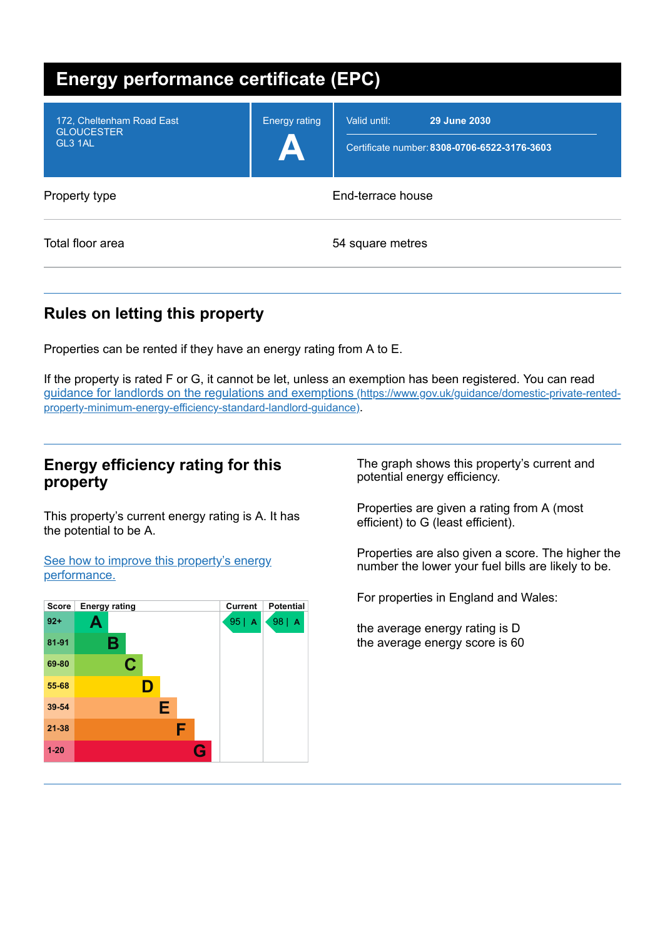| <b>Energy performance certificate (EPC)</b>               |                      |                                                                              |  |
|-----------------------------------------------------------|----------------------|------------------------------------------------------------------------------|--|
| 172, Cheltenham Road East<br><b>GLOUCESTER</b><br>GL3 1AL | <b>Energy rating</b> | Valid until:<br>29 June 2030<br>Certificate number: 8308-0706-6522-3176-3603 |  |
| Property type                                             | End-terrace house    |                                                                              |  |
| Total floor area                                          | 54 square metres     |                                                                              |  |

## **Rules on letting this property**

Properties can be rented if they have an energy rating from A to E.

If the property is rated F or G, it cannot be let, unless an exemption has been registered. You can read guidance for landlords on the regulations and exemptions (https://www.gov.uk/guidance/domestic-private-rented[property-minimum-energy-efficiency-standard-landlord-guidance\)](https://www.gov.uk/guidance/domestic-private-rented-property-minimum-energy-efficiency-standard-landlord-guidance).

## **Energy efficiency rating for this property**

This property's current energy rating is A. It has the potential to be A.

See how to improve this property's energy [performance.](#page-2-0)



The graph shows this property's current and potential energy efficiency.

Properties are given a rating from A (most efficient) to G (least efficient).

Properties are also given a score. The higher the number the lower your fuel bills are likely to be.

For properties in England and Wales:

the average energy rating is D the average energy score is 60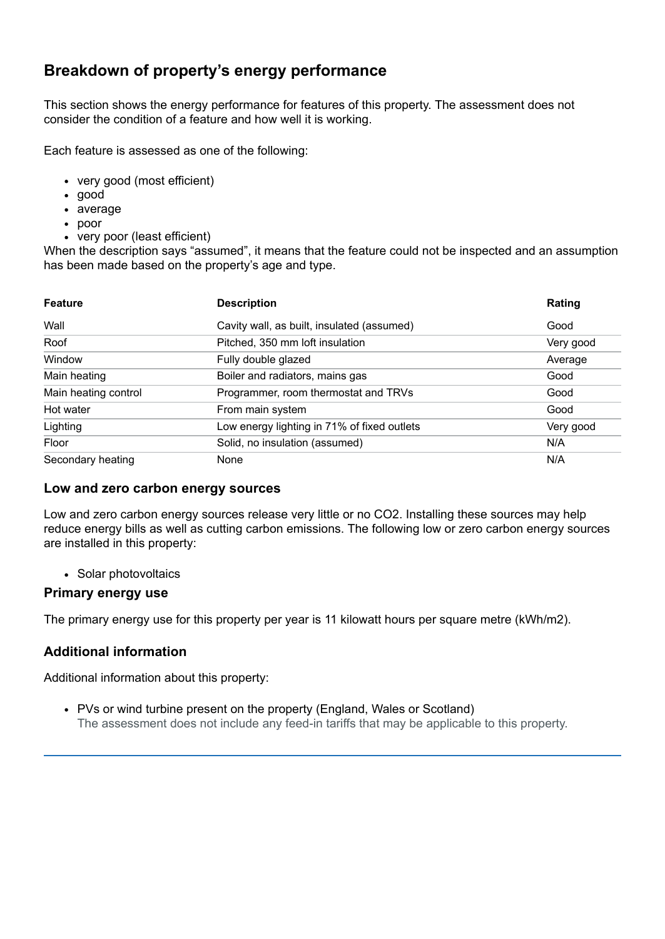## **Breakdown of property's energy performance**

This section shows the energy performance for features of this property. The assessment does not consider the condition of a feature and how well it is working.

Each feature is assessed as one of the following:

- very good (most efficient)
- good
- average
- poor
- very poor (least efficient)

When the description says "assumed", it means that the feature could not be inspected and an assumption has been made based on the property's age and type.

| <b>Feature</b>       | <b>Description</b>                          | Rating    |
|----------------------|---------------------------------------------|-----------|
| Wall                 | Cavity wall, as built, insulated (assumed)  | Good      |
| Roof                 | Pitched, 350 mm loft insulation             | Very good |
| Window               | Fully double glazed                         | Average   |
| Main heating         | Boiler and radiators, mains gas             | Good      |
| Main heating control | Programmer, room thermostat and TRVs        | Good      |
| Hot water            | From main system                            | Good      |
| Lighting             | Low energy lighting in 71% of fixed outlets | Very good |
| Floor                | Solid, no insulation (assumed)              | N/A       |
| Secondary heating    | None                                        | N/A       |

#### **Low and zero carbon energy sources**

Low and zero carbon energy sources release very little or no CO2. Installing these sources may help reduce energy bills as well as cutting carbon emissions. The following low or zero carbon energy sources are installed in this property:

• Solar photovoltaics

### **Primary energy use**

The primary energy use for this property per year is 11 kilowatt hours per square metre (kWh/m2).

## **Additional information**

Additional information about this property:

PVs or wind turbine present on the property (England, Wales or Scotland) The assessment does not include any feed-in tariffs that may be applicable to this property.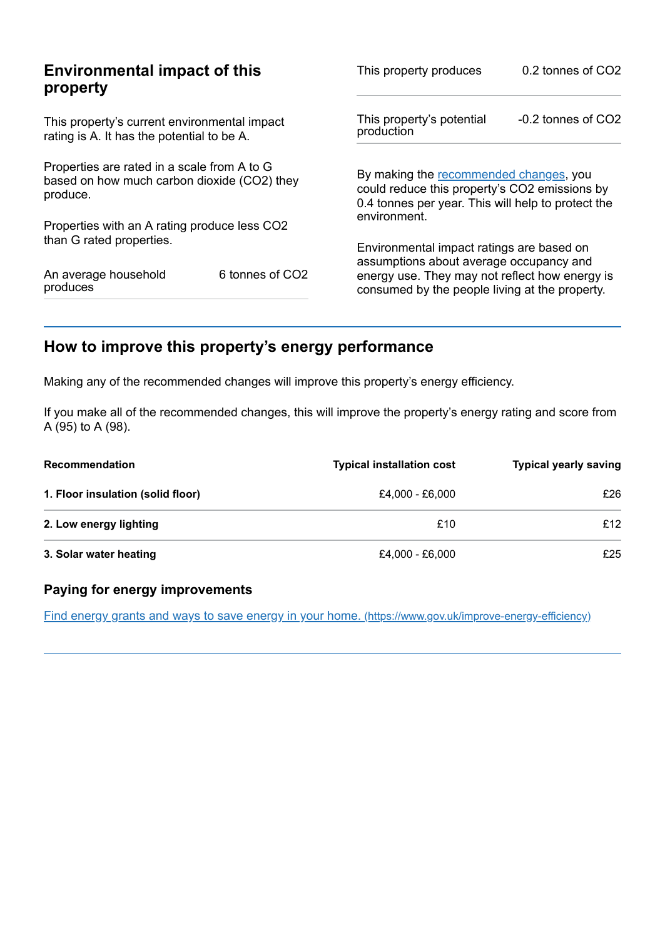| <b>Environmental impact of this</b><br>property                                                        |                             | This property produces                                                                                                                        | 0.2 tonnes of CO2      |
|--------------------------------------------------------------------------------------------------------|-----------------------------|-----------------------------------------------------------------------------------------------------------------------------------------------|------------------------|
| This property's current environmental impact<br>rating is A. It has the potential to be A.             |                             | This property's potential<br>production                                                                                                       | $-0.2$ tonnes of $CO2$ |
| Properties are rated in a scale from A to G<br>based on how much carbon dioxide (CO2) they<br>produce. |                             | By making the recommended changes, you<br>could reduce this property's CO2 emissions by<br>0.4 tonnes per year. This will help to protect the |                        |
| Properties with an A rating produce less CO2                                                           |                             | environment.                                                                                                                                  |                        |
| than G rated properties.                                                                               |                             | Environmental impact ratings are based on<br>assumptions about average occupancy and                                                          |                        |
| An average household<br>produces                                                                       | 6 tonnes of CO <sub>2</sub> | energy use. They may not reflect how energy is<br>consumed by the people living at the property.                                              |                        |

# <span id="page-2-0"></span>**How to improve this property's energy performance**

Making any of the recommended changes will improve this property's energy efficiency.

If you make all of the recommended changes, this will improve the property's energy rating and score from A (95) to A (98).

| <b>Recommendation</b>             | <b>Typical installation cost</b> | <b>Typical yearly saving</b> |
|-----------------------------------|----------------------------------|------------------------------|
| 1. Floor insulation (solid floor) | £4.000 - £6.000                  | £26                          |
| 2. Low energy lighting            | £10                              | £12                          |
| 3. Solar water heating            | £4,000 - £6,000                  | £25                          |

## **Paying for energy improvements**

Find energy grants and ways to save energy in your home. [\(https://www.gov.uk/improve-energy-efficiency\)](https://www.gov.uk/improve-energy-efficiency)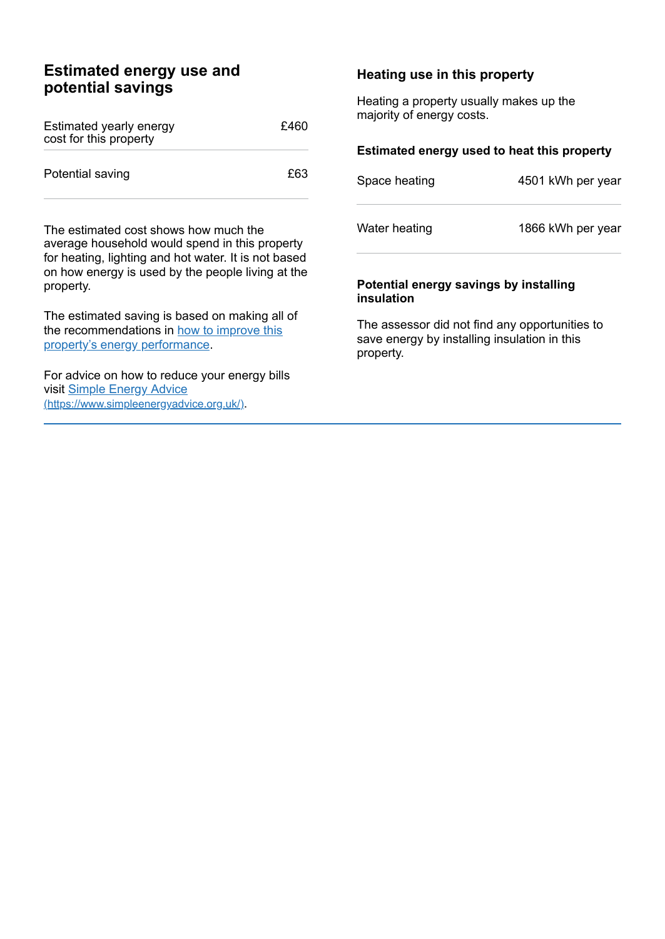## **Estimated energy use and potential savings**

| Estimated yearly energy<br>cost for this property | £460 |
|---------------------------------------------------|------|
| Potential saving                                  | £63  |

The estimated cost shows how much the average household would spend in this property for heating, lighting and hot water. It is not based on how energy is used by the people living at the property.

The estimated saving is based on making all of the [recommendations](#page-2-0) in how to improve this property's energy performance.

For advice on how to reduce your energy bills visit Simple Energy Advice [\(https://www.simpleenergyadvice.org.uk/\)](https://www.simpleenergyadvice.org.uk/).

#### **Heating use in this property**

Heating a property usually makes up the majority of energy costs.

#### **Estimated energy used to heat this property**

| Space heating | 4501 kWh per year |
|---------------|-------------------|
| Water heating | 1866 kWh per year |

#### **Potential energy savings by installing insulation**

The assessor did not find any opportunities to save energy by installing insulation in this property.